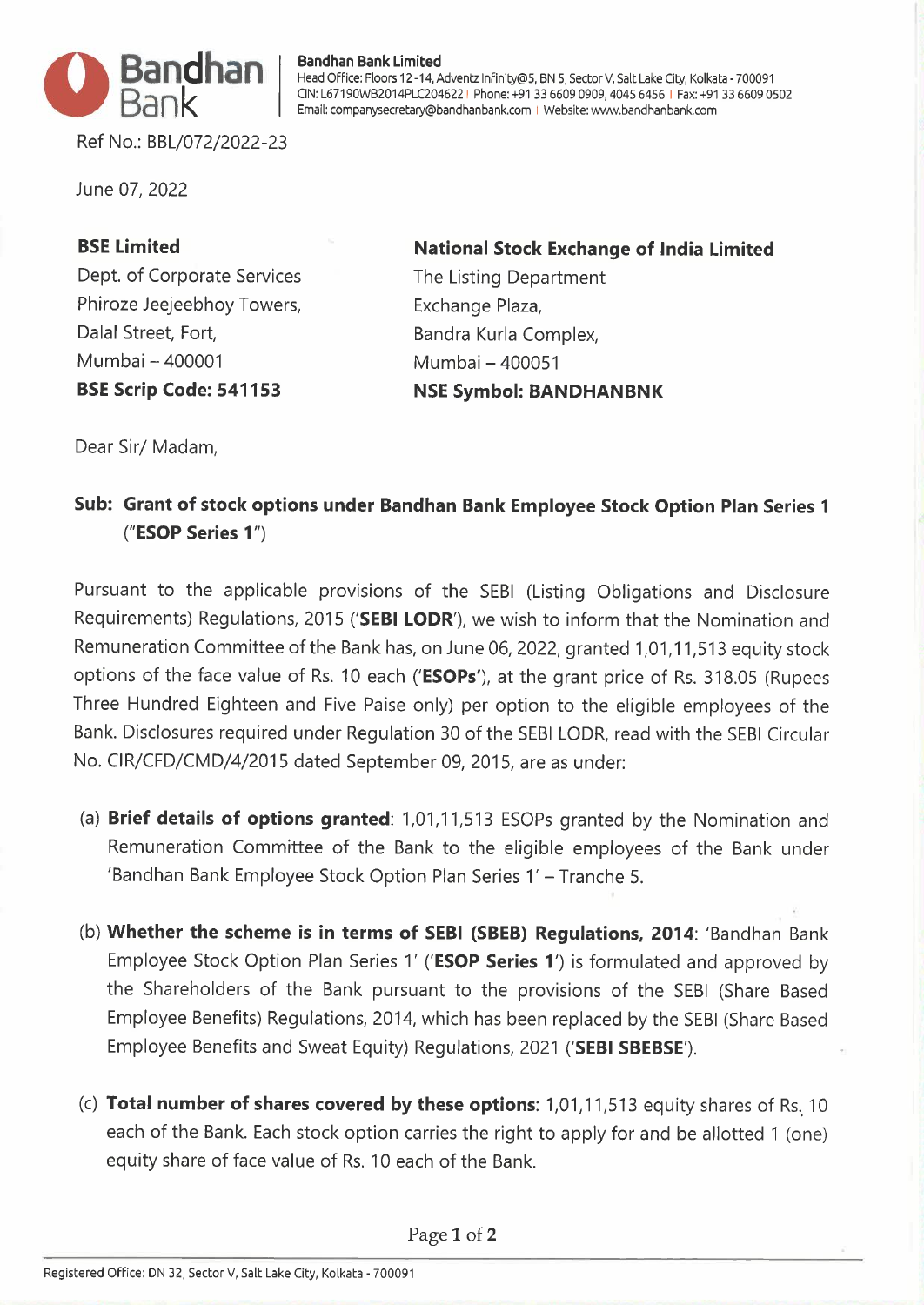

**Bandhan Bank Limited** 

Head Office: Floors 12-14, Adventz lnfinity@5, BN 5, Sector V, Salt Lake City, Kolkata - 700091 CIN: L67190WB2014PLC204622 I Phone: +91 33 6609 0909, 4045 6456 I Fax: +91 33 6609 0502 Email: companysecretary@bandhanbank.com I Website: www.bandhanbank.com

Ref No.: BBL/072/2022-23

June 07, 2022

## **BSE Limited**

Dept. of Corporate Services Phiroze Jeejeebhoy Towers, Dalal Street, Fort, Mumbai - 400001 **BSE Scrip Code: 541153** 

**National Stock Exchange of India Limited**  The Listing Department Exchange Plaza, Bandra Kurla Complex, Mumbai - 400051 **NSE Symbol: BANDHANBNK** 

Dear Sir/ Madam,

## **Sub: Grant of stock options under Bandhan Bank Employee Stock Option Plan Series 1 ("ESOP Series 1 ")**

Pursuant to the applicable provisions of the SEBI (Listing Obligations and Disclosure Requirements) Regulations, 2015 **('SEBI LODR'),** we wish to inform that the Nomination and Remuneration Committee of the Bank has, on June 06, 2022, granted 1,01, 11,513 equity stock options of the face value of Rs. 10 each **('ESOPs'),** at the grant price of Rs. 318.05 (Rupees Three Hundred Eighteen and Five Paise only) per option to the eligible employees of the Bank. Disclosures required under Regulation 30 of the SEBI LODR, read with the SEBI Circular No. CIR/CFD/CMD/4/2015 dated September 09, 2015, are as under:

- (a) **Brief details of options granted:** 1,01, 11,513 ESOPs granted by the Nomination and Remuneration Committee of the Bank to the eligible employees of the Bank under 'Bandhan Bank Employee Stock Option Plan Series 1' - Tranche 5.
- (b) **Whether the scheme is in terms of SEBI (SBEB) Regulations, 2014:** 'Bandhan Bank Employee Stock Option Plan Series 1' **('ESOP Series 1 ')** is formulated and approved by the Shareholders of the Bank pursuant to the provisions of the SEBI (Share Based Employee Benefits) Regulations, 2014, which has been replaced by the SEBI (Share Based Employee Benefits and Sweat Equity) Regulations, 2021 **('SEBI SBEBSE').**
- (c) Total number of shares covered by these options: 1,01,11,513 equity shares of Rs. 10 each of the Bank. Each stock option carries the right to apply for and be allotted 1 (one) equity share of face value of Rs. 10 each of the Bank.

Page 1 of **2**